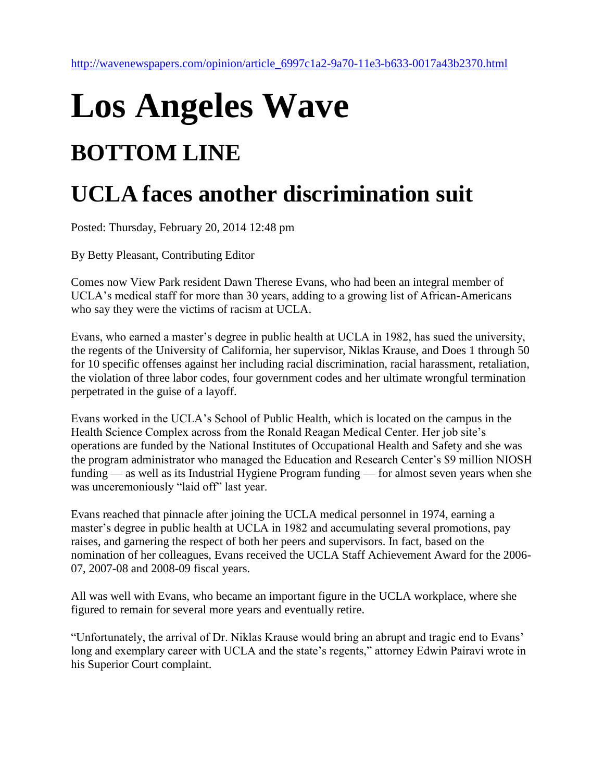## **Los Angeles Wave BOTTOM LINE**

## **UCLA faces another discrimination suit**

Posted: Thursday, February 20, 2014 12:48 pm

By Betty Pleasant, Contributing Editor

Comes now View Park resident Dawn Therese Evans, who had been an integral member of UCLA's medical staff for more than 30 years, adding to a growing list of African-Americans who say they were the victims of racism at UCLA.

Evans, who earned a master's degree in public health at UCLA in 1982, has sued the university, the regents of the University of California, her supervisor, Niklas Krause, and Does 1 through 50 for 10 specific offenses against her including racial discrimination, racial harassment, retaliation, the violation of three labor codes, four government codes and her ultimate wrongful termination perpetrated in the guise of a layoff.

Evans worked in the UCLA's School of Public Health, which is located on the campus in the Health Science Complex across from the Ronald Reagan Medical Center. Her job site's operations are funded by the National Institutes of Occupational Health and Safety and she was the program administrator who managed the Education and Research Center's \$9 million NIOSH funding — as well as its Industrial Hygiene Program funding — for almost seven years when she was unceremoniously "laid off" last year.

Evans reached that pinnacle after joining the UCLA medical personnel in 1974, earning a master's degree in public health at UCLA in 1982 and accumulating several promotions, pay raises, and garnering the respect of both her peers and supervisors. In fact, based on the nomination of her colleagues, Evans received the UCLA Staff Achievement Award for the 2006- 07, 2007-08 and 2008-09 fiscal years.

All was well with Evans, who became an important figure in the UCLA workplace, where she figured to remain for several more years and eventually retire.

"Unfortunately, the arrival of Dr. Niklas Krause would bring an abrupt and tragic end to Evans' long and exemplary career with UCLA and the state's regents," attorney Edwin Pairavi wrote in his Superior Court complaint.